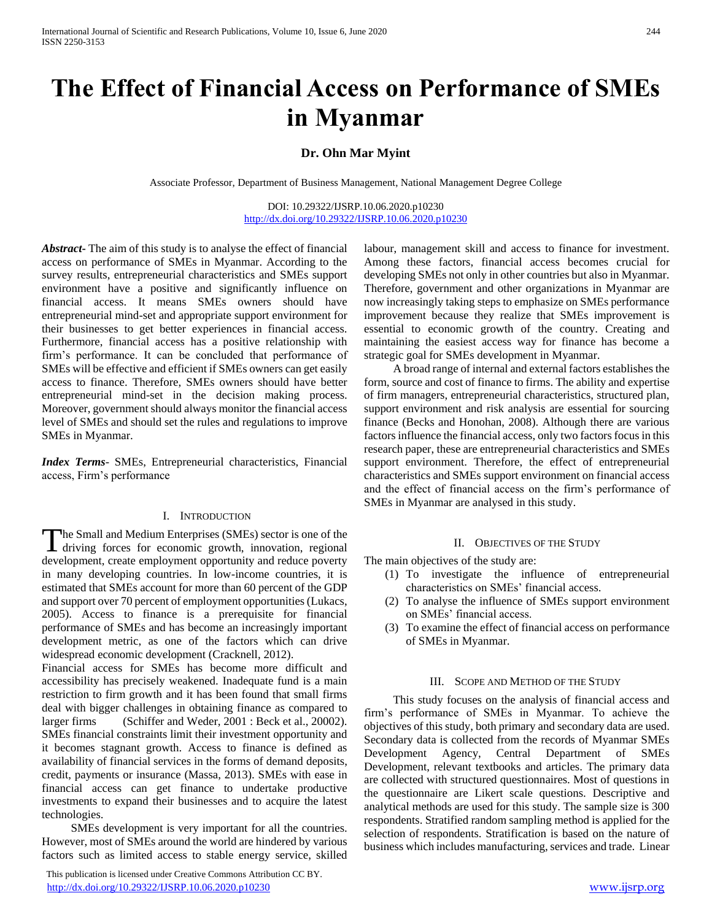# **The Effect of Financial Access on Performance of SMEs in Myanmar**

# **Dr. Ohn Mar Myint**

Associate Professor, Department of Business Management, National Management Degree College

DOI: 10.29322/IJSRP.10.06.2020.p10230 <http://dx.doi.org/10.29322/IJSRP.10.06.2020.p10230>

*Abstract***-** The aim of this study is to analyse the effect of financial access on performance of SMEs in Myanmar. According to the survey results, entrepreneurial characteristics and SMEs support environment have a positive and significantly influence on financial access. It means SMEs owners should have entrepreneurial mind-set and appropriate support environment for their businesses to get better experiences in financial access. Furthermore, financial access has a positive relationship with firm's performance. It can be concluded that performance of SMEs will be effective and efficient if SMEs owners can get easily access to finance. Therefore, SMEs owners should have better entrepreneurial mind-set in the decision making process. Moreover, government should always monitor the financial access level of SMEs and should set the rules and regulations to improve SMEs in Myanmar.

*Index Terms*- SMEs, Entrepreneurial characteristics, Financial access, Firm's performance

#### I. INTRODUCTION

he Small and Medium Enterprises (SMEs) sector is one of the The Small and Medium Enterprises (SMEs) sector is one of the driving forces for economic growth, innovation, regional development, create employment opportunity and reduce poverty in many developing countries. In low-income countries, it is estimated that SMEs account for more than 60 percent of the GDP and support over 70 percent of employment opportunities (Lukacs, 2005). Access to finance is a prerequisite for financial performance of SMEs and has become an increasingly important development metric, as one of the factors which can drive widespread economic development (Cracknell, 2012).

Financial access for SMEs has become more difficult and accessibility has precisely weakened. Inadequate fund is a main restriction to firm growth and it has been found that small firms deal with bigger challenges in obtaining finance as compared to larger firms (Schiffer and Weder, 2001 : Beck et al., 20002). SMEs financial constraints limit their investment opportunity and it becomes stagnant growth. Access to finance is defined as availability of financial services in the forms of demand deposits, credit, payments or insurance (Massa, 2013). SMEs with ease in financial access can get finance to undertake productive investments to expand their businesses and to acquire the latest technologies.

 SMEs development is very important for all the countries. However, most of SMEs around the world are hindered by various factors such as limited access to stable energy service, skilled

 This publication is licensed under Creative Commons Attribution CC BY. <http://dx.doi.org/10.29322/IJSRP.10.06.2020.p10230> [www.ijsrp.org](http://ijsrp.org/)

labour, management skill and access to finance for investment. Among these factors, financial access becomes crucial for developing SMEs not only in other countries but also in Myanmar. Therefore, government and other organizations in Myanmar are now increasingly taking steps to emphasize on SMEs performance improvement because they realize that SMEs improvement is essential to economic growth of the country. Creating and maintaining the easiest access way for finance has become a strategic goal for SMEs development in Myanmar.

 A broad range of internal and external factors establishes the form, source and cost of finance to firms. The ability and expertise of firm managers, entrepreneurial characteristics, structured plan, support environment and risk analysis are essential for sourcing finance (Becks and Honohan, 2008). Although there are various factors influence the financial access, only two factors focus in this research paper, these are entrepreneurial characteristics and SMEs support environment. Therefore, the effect of entrepreneurial characteristics and SMEs support environment on financial access and the effect of financial access on the firm's performance of SMEs in Myanmar are analysed in this study.

#### II. OBJECTIVES OF THE STUDY

The main objectives of the study are:

- (1) To investigate the influence of entrepreneurial characteristics on SMEs' financial access.
- (2) To analyse the influence of SMEs support environment on SMEs' financial access.
- (3) To examine the effect of financial access on performance of SMEs in Myanmar.

#### III. SCOPE AND METHOD OF THE STUDY

 This study focuses on the analysis of financial access and firm's performance of SMEs in Myanmar. To achieve the objectives of this study, both primary and secondary data are used. Secondary data is collected from the records of Myanmar SMEs Development Agency, Central Department of SMEs Development, relevant textbooks and articles. The primary data are collected with structured questionnaires. Most of questions in the questionnaire are Likert scale questions. Descriptive and analytical methods are used for this study. The sample size is 300 respondents. Stratified random sampling method is applied for the selection of respondents. Stratification is based on the nature of business which includes manufacturing, services and trade. Linear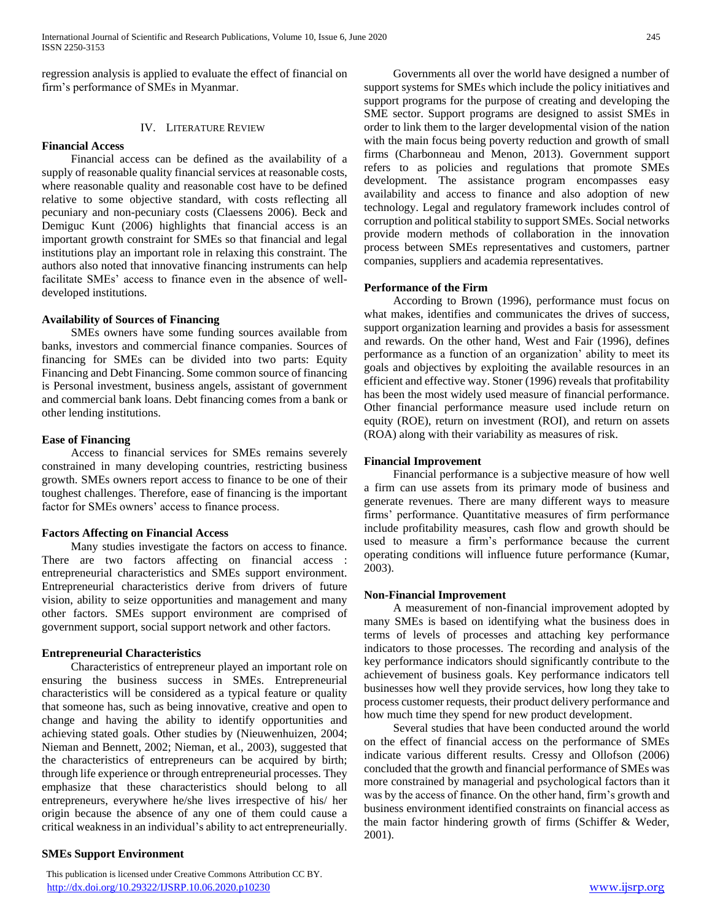regression analysis is applied to evaluate the effect of financial on firm's performance of SMEs in Myanmar.

## IV. LITERATURE REVIEW

#### **Financial Access**

 Financial access can be defined as the availability of a supply of reasonable quality financial services at reasonable costs, where reasonable quality and reasonable cost have to be defined relative to some objective standard, with costs reflecting all pecuniary and non-pecuniary costs (Claessens 2006). Beck and Demiguc Kunt (2006) highlights that financial access is an important growth constraint for SMEs so that financial and legal institutions play an important role in relaxing this constraint. The authors also noted that innovative financing instruments can help facilitate SMEs' access to finance even in the absence of welldeveloped institutions.

### **Availability of Sources of Financing**

 SMEs owners have some funding sources available from banks, investors and commercial finance companies. Sources of financing for SMEs can be divided into two parts: Equity Financing and Debt Financing. Some common source of financing is Personal investment, business angels, assistant of government and commercial bank loans. Debt financing comes from a bank or other lending institutions.

#### **Ease of Financing**

 Access to financial services for SMEs remains severely constrained in many developing countries, restricting business growth. SMEs owners report access to finance to be one of their toughest challenges. Therefore, ease of financing is the important factor for SMEs owners' access to finance process.

### **Factors Affecting on Financial Access**

 Many studies investigate the factors on access to finance. There are two factors affecting on financial access : entrepreneurial characteristics and SMEs support environment. Entrepreneurial characteristics derive from drivers of future vision, ability to seize opportunities and management and many other factors. SMEs support environment are comprised of government support, social support network and other factors.

### **Entrepreneurial Characteristics**

 Characteristics of entrepreneur played an important role on ensuring the business success in SMEs. Entrepreneurial characteristics will be considered as a typical feature or quality that someone has, such as being innovative, creative and open to change and having the ability to identify opportunities and achieving stated goals. Other studies by (Nieuwenhuizen, 2004; Nieman and Bennett, 2002; Nieman, et al., 2003), suggested that the characteristics of entrepreneurs can be acquired by birth; through life experience or through entrepreneurial processes. They emphasize that these characteristics should belong to all entrepreneurs, everywhere he/she lives irrespective of his/ her origin because the absence of any one of them could cause a critical weakness in an individual's ability to act entrepreneurially.

### **SMEs Support Environment**

 This publication is licensed under Creative Commons Attribution CC BY. <http://dx.doi.org/10.29322/IJSRP.10.06.2020.p10230> [www.ijsrp.org](http://ijsrp.org/)

 Governments all over the world have designed a number of support systems for SMEs which include the policy initiatives and support programs for the purpose of creating and developing the SME sector. Support programs are designed to assist SMEs in order to link them to the larger developmental vision of the nation with the main focus being poverty reduction and growth of small firms (Charbonneau and Menon, 2013). Government support refers to as policies and regulations that promote SMEs development. The assistance program encompasses easy availability and access to finance and also adoption of new technology. Legal and regulatory framework includes control of corruption and political stability to support SMEs. Social networks provide modern methods of collaboration in the innovation process between SMEs representatives and customers, partner companies, suppliers and academia representatives.

### **Performance of the Firm**

 According to Brown (1996), performance must focus on what makes, identifies and communicates the drives of success, support organization learning and provides a basis for assessment and rewards. On the other hand, West and Fair (1996), defines performance as a function of an organization' ability to meet its goals and objectives by exploiting the available resources in an efficient and effective way. Stoner (1996) reveals that profitability has been the most widely used measure of financial performance. Other financial performance measure used include return on equity (ROE), return on investment (ROI), and return on assets (ROA) along with their variability as measures of risk.

#### **Financial Improvement**

 Financial performance is a subjective measure of how well a firm can use assets from its primary mode of business and generate revenues. There are many different ways to measure firms' performance. Quantitative measures of firm performance include profitability measures, cash flow and growth should be used to measure a firm's performance because the current operating conditions will influence future performance (Kumar, 2003).

#### **Non-Financial Improvement**

 A measurement of non-financial improvement adopted by many SMEs is based on identifying what the business does in terms of levels of processes and attaching key performance indicators to those processes. The recording and analysis of the key performance indicators should significantly contribute to the achievement of business goals. Key performance indicators tell businesses how well they provide services, how long they take to process customer requests, their product delivery performance and how much time they spend for new product development.

 Several studies that have been conducted around the world on the effect of financial access on the performance of SMEs indicate various different results. Cressy and Ollofson (2006) concluded that the growth and financial performance of SMEs was more constrained by managerial and psychological factors than it was by the access of finance. On the other hand, firm's growth and business environment identified constraints on financial access as the main factor hindering growth of firms (Schiffer & Weder, 2001).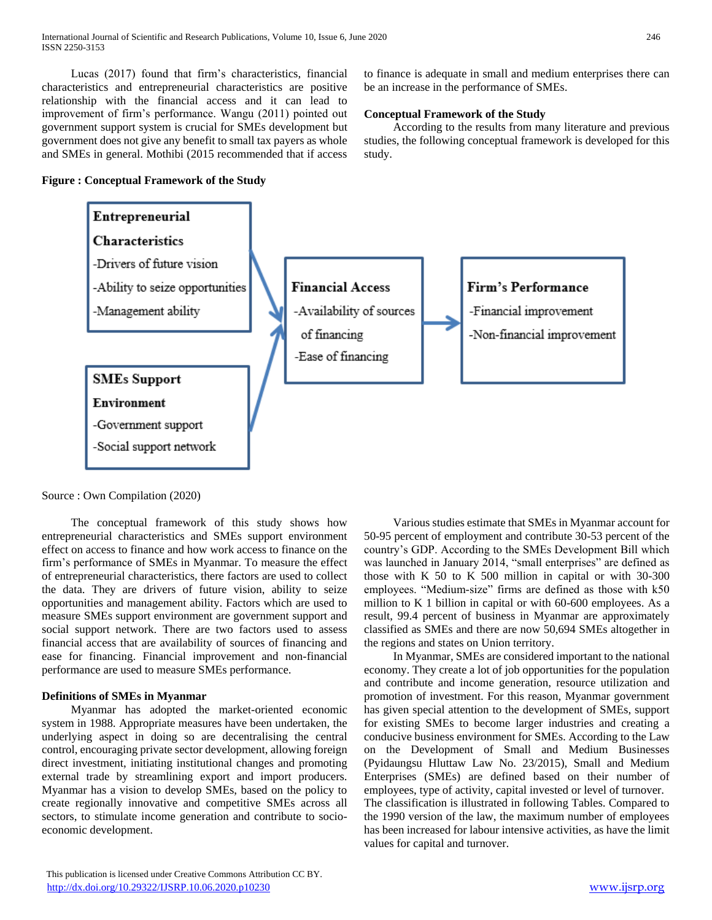Lucas (2017) found that firm's characteristics, financial characteristics and entrepreneurial characteristics are positive relationship with the financial access and it can lead to improvement of firm's performance. Wangu (2011) pointed out government support system is crucial for SMEs development but government does not give any benefit to small tax payers as whole and SMEs in general. Mothibi (2015 recommended that if access

#### **Figure : Conceptual Framework of the Study**

to finance is adequate in small and medium enterprises there can be an increase in the performance of SMEs.

# **Conceptual Framework of the Study**

 According to the results from many literature and previous studies, the following conceptual framework is developed for this study.



Source : Own Compilation (2020)

 The conceptual framework of this study shows how entrepreneurial characteristics and SMEs support environment effect on access to finance and how work access to finance on the firm's performance of SMEs in Myanmar. To measure the effect of entrepreneurial characteristics, there factors are used to collect the data. They are drivers of future vision, ability to seize opportunities and management ability. Factors which are used to measure SMEs support environment are government support and social support network. There are two factors used to assess financial access that are availability of sources of financing and ease for financing. Financial improvement and non-financial performance are used to measure SMEs performance.

### **Definitions of SMEs in Myanmar**

 Myanmar has adopted the market-oriented economic system in 1988. Appropriate measures have been undertaken, the underlying aspect in doing so are decentralising the central control, encouraging private sector development, allowing foreign direct investment, initiating institutional changes and promoting external trade by streamlining export and import producers. Myanmar has a vision to develop SMEs, based on the policy to create regionally innovative and competitive SMEs across all sectors, to stimulate income generation and contribute to socioeconomic development.

 Various studies estimate that SMEs in Myanmar account for 50-95 percent of employment and contribute 30-53 percent of the country's GDP. According to the SMEs Development Bill which was launched in January 2014, "small enterprises" are defined as those with K 50 to K 500 million in capital or with 30-300 employees. "Medium-size" firms are defined as those with k50 million to K 1 billion in capital or with 60-600 employees. As a result, 99.4 percent of business in Myanmar are approximately classified as SMEs and there are now 50,694 SMEs altogether in the regions and states on Union territory.

 In Myanmar, SMEs are considered important to the national economy. They create a lot of job opportunities for the population and contribute and income generation, resource utilization and promotion of investment. For this reason, Myanmar government has given special attention to the development of SMEs, support for existing SMEs to become larger industries and creating a conducive business environment for SMEs. According to the Law on the Development of Small and Medium Businesses (Pyidaungsu Hluttaw Law No. 23/2015), Small and Medium Enterprises (SMEs) are defined based on their number of employees, type of activity, capital invested or level of turnover. The classification is illustrated in following Tables. Compared to the 1990 version of the law, the maximum number of employees has been increased for labour intensive activities, as have the limit values for capital and turnover.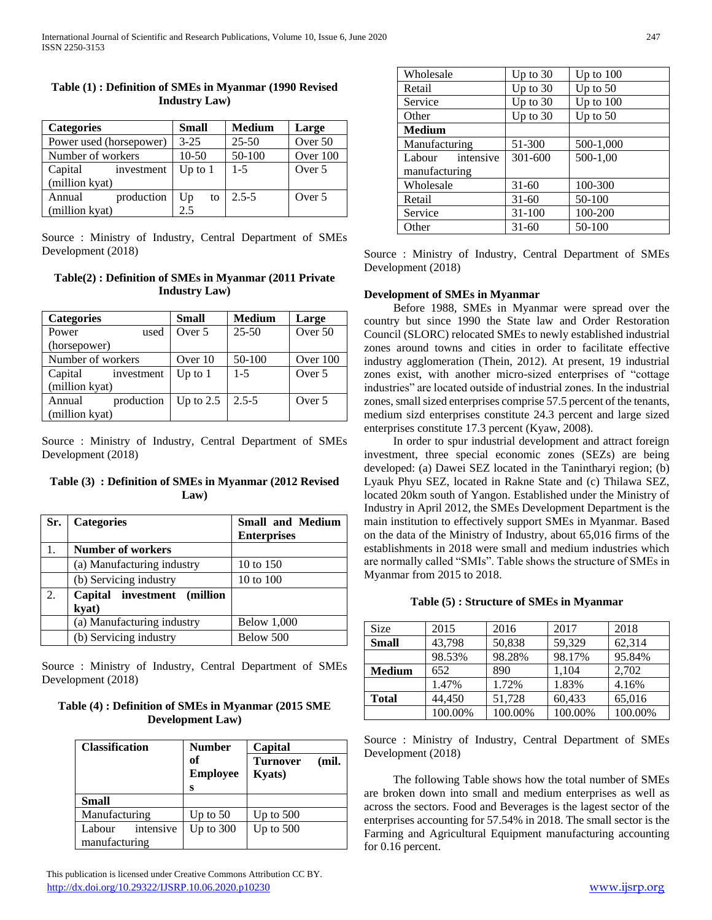| <b>Categories</b>       | <b>Small</b> | <b>Medium</b> | Large    |
|-------------------------|--------------|---------------|----------|
| Power used (horsepower) | $3 - 25$     | $25 - 50$     | Over 50  |
| Number of workers       | $10-50$      | 50-100        | Over 100 |
| Capital<br>investment   | Up to $1$    | $1 - 5$       | Over 5   |
| (million kyat)          |              |               |          |
| production<br>Annual    | Up<br>to     | $2.5 - 5$     | Over 5   |
| (million kyat)          | 2.5          |               |          |

## **Table (1) : Definition of SMEs in Myanmar (1990 Revised Industry Law)**

Source : Ministry of Industry, Central Department of SMEs Development (2018)

# **Table(2) : Definition of SMEs in Myanmar (2011 Private Industry Law)**

| <b>Categories</b>     | <b>Small</b> | <b>Medium</b> | Large      |
|-----------------------|--------------|---------------|------------|
| Power<br>used         | Over 5       | $25 - 50$     | Over 50    |
| (horsepower)          |              |               |            |
| Number of workers     | Over 10      | 50-100        | Over $100$ |
| Capital<br>investment | Up to $1$    | $1 - 5$       | Over 5     |
| (million kyat)        |              |               |            |
| production<br>Annual  | Up to $2.5$  | $2.5 - 5$     | Over 5     |
| (million kyat)        |              |               |            |

Source : Ministry of Industry, Central Department of SMEs Development (2018)

## **Table (3) : Definition of SMEs in Myanmar (2012 Revised Law)**

| Sr. | <b>Categories</b>                    | <b>Small and Medium</b><br><b>Enterprises</b> |
|-----|--------------------------------------|-----------------------------------------------|
| 1.  | <b>Number of workers</b>             |                                               |
|     | (a) Manufacturing industry           | 10 to 150                                     |
|     | (b) Servicing industry               | 10 to 100                                     |
| 2.  | Capital investment (million<br>kyat) |                                               |
|     | (a) Manufacturing industry           | <b>Below 1,000</b>                            |
|     | (b) Servicing industry               | Below 500                                     |

Source : Ministry of Industry, Central Department of SMEs Development (2018)

**Table (4) : Definition of SMEs in Myanmar (2015 SME Development Law)**

| <b>Classification</b>                | <b>Number</b><br>of<br><b>Employee</b> | Capital<br><b>Turnover</b><br><b>Kyats</b> ) | (mil. |
|--------------------------------------|----------------------------------------|----------------------------------------------|-------|
|                                      | S                                      |                                              |       |
| <b>Small</b>                         |                                        |                                              |       |
| Manufacturing                        | Up to $50$                             | Up to $500$                                  |       |
| intensive<br>Labour<br>manufacturing | Up to 300                              | Up to $500$                                  |       |

| Wholesale           | Up to $30$ | Up to $100$ |
|---------------------|------------|-------------|
| Retail              | Up to $30$ | Up to $50$  |
| Service             | Up to $30$ | Up to $100$ |
| Other               | Up to $30$ | Up to $50$  |
| <b>Medium</b>       |            |             |
| Manufacturing       | 51-300     | 500-1,000   |
| intensive<br>Labour | 301-600    | 500-1,00    |
| manufacturing       |            |             |
| Wholesale           | $31 - 60$  | 100-300     |
| Retail              | $31 - 60$  | 50-100      |
| Service             | $31 - 100$ | 100-200     |
| Other               | $31 - 60$  | 50-100      |

Source : Ministry of Industry, Central Department of SMEs Development (2018)

### **Development of SMEs in Myanmar**

 Before 1988, SMEs in Myanmar were spread over the country but since 1990 the State law and Order Restoration Council (SLORC) relocated SMEs to newly established industrial zones around towns and cities in order to facilitate effective industry agglomeration (Thein, 2012). At present, 19 industrial zones exist, with another micro-sized enterprises of "cottage industries" are located outside of industrial zones. In the industrial zones, small sized enterprises comprise 57.5 percent of the tenants, medium sizd enterprises constitute 24.3 percent and large sized enterprises constitute 17.3 percent (Kyaw, 2008).

 In order to spur industrial development and attract foreign investment, three special economic zones (SEZs) are being developed: (a) Dawei SEZ located in the Tanintharyi region; (b) Lyauk Phyu SEZ, located in Rakne State and (c) Thilawa SEZ, located 20km south of Yangon. Established under the Ministry of Industry in April 2012, the SMEs Development Department is the main institution to effectively support SMEs in Myanmar. Based on the data of the Ministry of Industry, about 65,016 firms of the establishments in 2018 were small and medium industries which are normally called "SMIs". Table shows the structure of SMEs in Myanmar from 2015 to 2018.

### **Table (5) : Structure of SMEs in Myanmar**

| Size          | 2015    | 2016    | 2017    | 2018    |
|---------------|---------|---------|---------|---------|
| <b>Small</b>  | 43,798  | 50,838  | 59,329  | 62,314  |
|               | 98.53%  | 98.28%  | 98.17%  | 95.84%  |
| <b>Medium</b> | 652     | 890     | 1,104   | 2,702   |
|               | 1.47%   | 1.72%   | 1.83%   | 4.16%   |
| <b>Total</b>  | 44.450  | 51,728  | 60,433  | 65,016  |
|               | 100.00% | 100.00% | 100.00% | 100.00% |

Source : Ministry of Industry, Central Department of SMEs Development (2018)

 The following Table shows how the total number of SMEs are broken down into small and medium enterprises as well as across the sectors. Food and Beverages is the lagest sector of the enterprises accounting for 57.54% in 2018. The small sector is the Farming and Agricultural Equipment manufacturing accounting for 0.16 percent.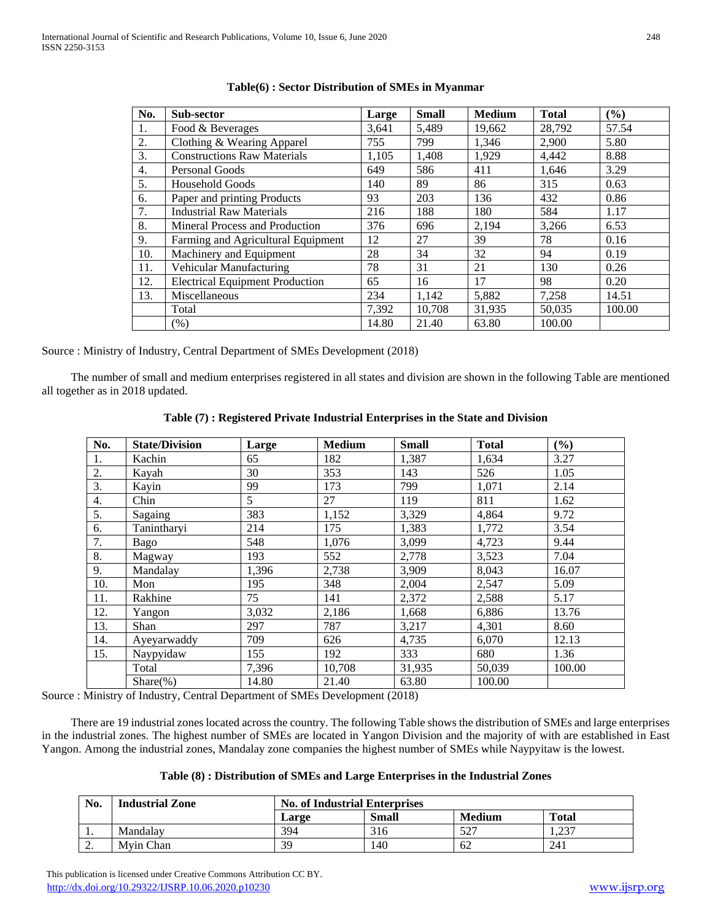| No. | Sub-sector                             | Large | <b>Small</b> | <b>Medium</b> | <b>Total</b> | $($ %) |
|-----|----------------------------------------|-------|--------------|---------------|--------------|--------|
| 1.  | Food & Beverages                       | 3,641 | 5,489        | 19,662        | 28,792       | 57.54  |
| 2.  | Clothing & Wearing Apparel             | 755   | 799          | 1,346         | 2,900        | 5.80   |
| 3.  | <b>Constructions Raw Materials</b>     | 1,105 | 1,408        | 1,929         | 4,442        | 8.88   |
| 4.  | Personal Goods                         | 649   | 586          | 411           | 1,646        | 3.29   |
| 5.  | <b>Household Goods</b>                 | 140   | 89           | 86            | 315          | 0.63   |
| 6.  | Paper and printing Products            | 93    | 203          | 136           | 432          | 0.86   |
| 7.  | <b>Industrial Raw Materials</b>        | 216   | 188          | 180           | 584          | 1.17   |
| 8.  | Mineral Process and Production         | 376   | 696          | 2,194         | 3,266        | 6.53   |
| 9.  | Farming and Agricultural Equipment     | 12    | 27           | 39            | 78           | 0.16   |
| 10. | Machinery and Equipment                | 28    | 34           | 32            | 94           | 0.19   |
| 11. | Vehicular Manufacturing                | 78    | 31           | 21            | 130          | 0.26   |
| 12. | <b>Electrical Equipment Production</b> | 65    | 16           | 17            | 98           | 0.20   |
| 13. | Miscellaneous                          | 234   | 1,142        | 5,882         | 7,258        | 14.51  |
|     | Total                                  | 7,392 | 10,708       | 31,935        | 50,035       | 100.00 |
|     | (% )                                   | 14.80 | 21.40        | 63.80         | 100.00       |        |

## **Table(6) : Sector Distribution of SMEs in Myanmar**

Source : Ministry of Industry, Central Department of SMEs Development (2018)

 The number of small and medium enterprises registered in all states and division are shown in the following Table are mentioned all together as in 2018 updated.

| No.              | <b>State/Division</b> | Large | <b>Medium</b> | <b>Small</b> | <b>Total</b> | (%)    |  |
|------------------|-----------------------|-------|---------------|--------------|--------------|--------|--|
| 1.               | Kachin                | 65    | 182           | 1,387        | 1,634        | 3.27   |  |
| 2.               | Kayah                 | 30    | 353           | 143          | 526          | 1.05   |  |
| 3.               | Kayin                 | 99    | 173           | 799          | 1,071        | 2.14   |  |
| 4.               | Chin                  | 5     | 27            | 119          | 811          | 1.62   |  |
| $\overline{5}$ . | Sagaing               | 383   | 1,152         | 3,329        | 4,864        | 9.72   |  |
| 6.               | Tanintharyi           | 214   | 175           | 1,383        | 1,772        | 3.54   |  |
| 7.               | Bago                  | 548   | 1,076         | 3,099        | 4,723        | 9.44   |  |
| 8.               | Magway                | 193   | 552           | 2,778        | 3,523        | 7.04   |  |
| 9.               | Mandalay              | 1,396 | 2,738         | 3,909        | 8,043        | 16.07  |  |
| 10.              | Mon                   | 195   | 348           | 2,004        | 2,547        | 5.09   |  |
| 11.              | Rakhine               | 75    | 141           | 2,372        | 2,588        | 5.17   |  |
| 12.              | Yangon                | 3,032 | 2,186         | 1,668        | 6,886        | 13.76  |  |
| 13.              | Shan                  | 297   | 787           | 3,217        | 4,301        | 8.60   |  |
| 14.              | Ayeyarwaddy           | 709   | 626           | 4,735        | 6,070        | 12.13  |  |
| 15.              | Naypyidaw             | 155   | 192           | 333          | 680          | 1.36   |  |
|                  | Total                 | 7,396 | 10,708        | 31,935       | 50,039       | 100.00 |  |
|                  | $Share$ (%)           | 14.80 | 21.40         | 63.80        | 100.00       |        |  |

**Table (7) : Registered Private Industrial Enterprises in the State and Division**

Source : Ministry of Industry, Central Department of SMEs Development (2018)

 There are 19 industrial zones located across the country. The following Table shows the distribution of SMEs and large enterprises in the industrial zones. The highest number of SMEs are located in Yangon Division and the majority of with are established in East Yangon. Among the industrial zones, Mandalay zone companies the highest number of SMEs while Naypyitaw is the lowest.

|  | Table (8): Distribution of SMEs and Large Enterprises in the Industrial Zones |  |  |  |  |  |  |
|--|-------------------------------------------------------------------------------|--|--|--|--|--|--|
|--|-------------------------------------------------------------------------------|--|--|--|--|--|--|

| No.      | <b>Industrial Zone</b> | <b>No. of Industrial Enterprises</b> |              |               |                   |
|----------|------------------------|--------------------------------------|--------------|---------------|-------------------|
|          |                        | Large                                | <b>Small</b> | <b>Medium</b> | <b>Total</b>      |
| . .      | Mandalav               | 394                                  | 316          | 527           | 227<br>. د. ۱۰ په |
| <u>.</u> | Mvin Chan              | 39                                   | 140          | 62            | 241               |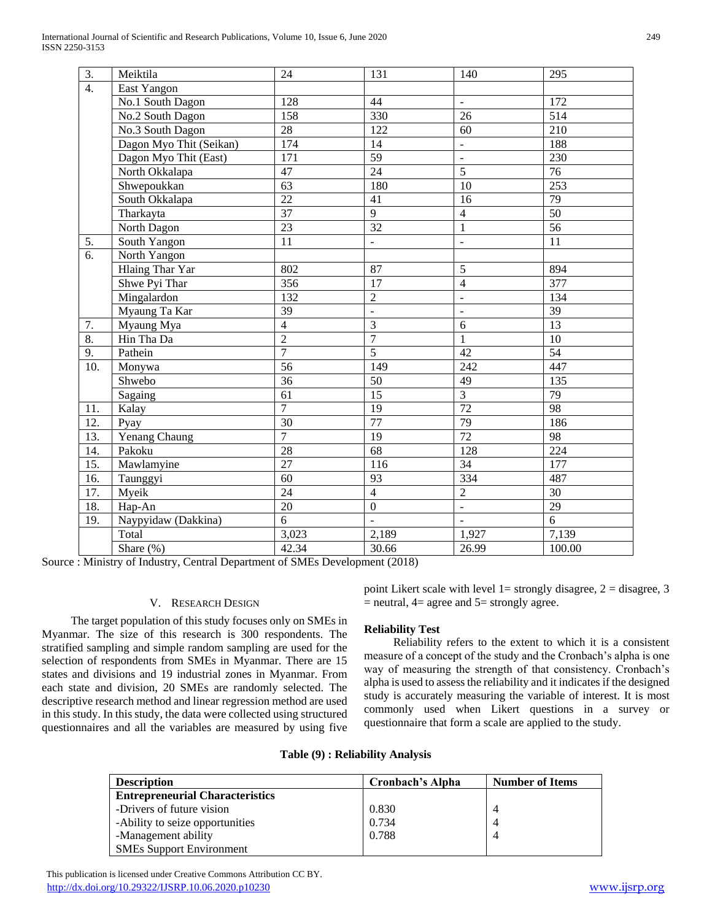| $\overline{3}$ . | Meiktila                | 24              | 131                      | 140             | 295              |
|------------------|-------------------------|-----------------|--------------------------|-----------------|------------------|
| $\overline{4}$ . | East Yangon             |                 |                          |                 |                  |
|                  | No.1 South Dagon        | 128             | 44                       |                 | 172              |
|                  | No.2 South Dagon        | 158             | 330                      | 26              | 514              |
|                  | No.3 South Dagon        | $\overline{28}$ | 122                      | 60              | 210              |
|                  | Dagon Myo Thit (Seikan) | 174             | 14                       | $\blacksquare$  | 188              |
|                  | Dagon Myo Thit (East)   | 171             | 59                       | $\frac{1}{2}$   | 230              |
|                  | North Okkalapa          | 47              | 24                       | $\overline{5}$  | 76               |
|                  | Shwepoukkan             | 63              | 180                      | 10              | 253              |
|                  | South Okkalapa          | $\overline{22}$ | 41                       | 16              | 79               |
|                  | Tharkayta               | 37              | $\overline{9}$           | $\overline{4}$  | 50               |
|                  | North Dagon             | 23              | $\overline{32}$          | $\mathbf{1}$    | $\overline{56}$  |
| 5.               | South Yangon            | $\overline{11}$ | $\blacksquare$           | $\overline{a}$  | $\overline{11}$  |
| 6.               | North Yangon            |                 |                          |                 |                  |
|                  | <b>Hlaing Thar Yar</b>  | 802             | 87                       | $\overline{5}$  | 894              |
|                  | Shwe Pyi Thar           | 356             | 17                       | $\overline{4}$  | $\overline{377}$ |
|                  | Mingalardon             | 132             | $\overline{2}$           | $\mathbb{L}^2$  | 134              |
|                  | Myaung Ta Kar           | 39              | $\overline{a}$           | $\overline{a}$  | 39               |
| 7.               | Myaung Mya              | $\overline{4}$  | $\overline{3}$           | $\overline{6}$  | 13               |
| $\overline{8}$ . | Hin Tha Da              | $\overline{2}$  | $\overline{7}$           | $\mathbf{1}$    | 10               |
| 9.               | Pathein                 | $\overline{7}$  | $\overline{5}$           | 42              | $\overline{54}$  |
| 10.              | Monywa                  | $\overline{56}$ | 149                      | 242             | 447              |
|                  | Shwebo                  | 36              | 50                       | 49              | 135              |
|                  | Sagaing                 | 61              | 15                       | $\overline{3}$  | 79               |
| 11.              | Kalay                   | $\overline{7}$  | 19                       | 72              | 98               |
| 12.              | Pyay                    | $\overline{30}$ | 77                       | 79              | 186              |
| 13.              | Yenang Chaung           | $\overline{7}$  | 19                       | $\overline{72}$ | 98               |
| 14.              | Pakoku                  | 28              | $\overline{68}$          | 128             | 224              |
| 15.              | Mawlamyine              | $\overline{27}$ | 116                      | 34              | 177              |
| 16.              | Taunggyi                | $\overline{60}$ | 93                       | 334             | 487              |
| 17.              | Myeik                   | 24              | $\overline{4}$           | $\overline{2}$  | $\overline{30}$  |
| 18.              | Hap-An                  | 20              | $\boldsymbol{0}$         | $\Box$          | 29               |
| 19.              | Naypyidaw (Dakkina)     | 6               | $\overline{\phantom{a}}$ | $\mathbf{r}$    | $\overline{6}$   |
|                  | Total                   | 3,023           | 2,189                    | 1,927           | 7,139            |
|                  | Share (%)               | 42.34           | 30.66                    | 26.99           | 100.00           |
|                  |                         |                 |                          |                 |                  |

Source : Ministry of Industry, Central Department of SMEs Development (2018)

#### V. RESEARCH DESIGN

 The target population of this study focuses only on SMEs in Myanmar. The size of this research is 300 respondents. The stratified sampling and simple random sampling are used for the selection of respondents from SMEs in Myanmar. There are 15 states and divisions and 19 industrial zones in Myanmar. From each state and division, 20 SMEs are randomly selected. The descriptive research method and linear regression method are used in this study. In this study, the data were collected using structured questionnaires and all the variables are measured by using five

point Likert scale with level  $1=$  strongly disagree,  $2=$  disagree, 3  $=$  neutral,  $4=$  agree and  $5=$  strongly agree.

## **Reliability Test**

 Reliability refers to the extent to which it is a consistent measure of a concept of the study and the Cronbach's alpha is one way of measuring the strength of that consistency. Cronbach's alpha is used to assess the reliability and it indicates if the designed study is accurately measuring the variable of interest. It is most commonly used when Likert questions in a survey or questionnaire that form a scale are applied to the study.

| <b>Description</b>                     | Cronbach's Alpha | <b>Number of Items</b> |  |
|----------------------------------------|------------------|------------------------|--|
| <b>Entrepreneurial Characteristics</b> |                  |                        |  |
| -Drivers of future vision              | 0.830            |                        |  |
| -Ability to seize opportunities        | 0.734            |                        |  |
| -Management ability                    | 0.788            | 4                      |  |
| <b>SMEs Support Environment</b>        |                  |                        |  |

 This publication is licensed under Creative Commons Attribution CC BY. <http://dx.doi.org/10.29322/IJSRP.10.06.2020.p10230> [www.ijsrp.org](http://ijsrp.org/)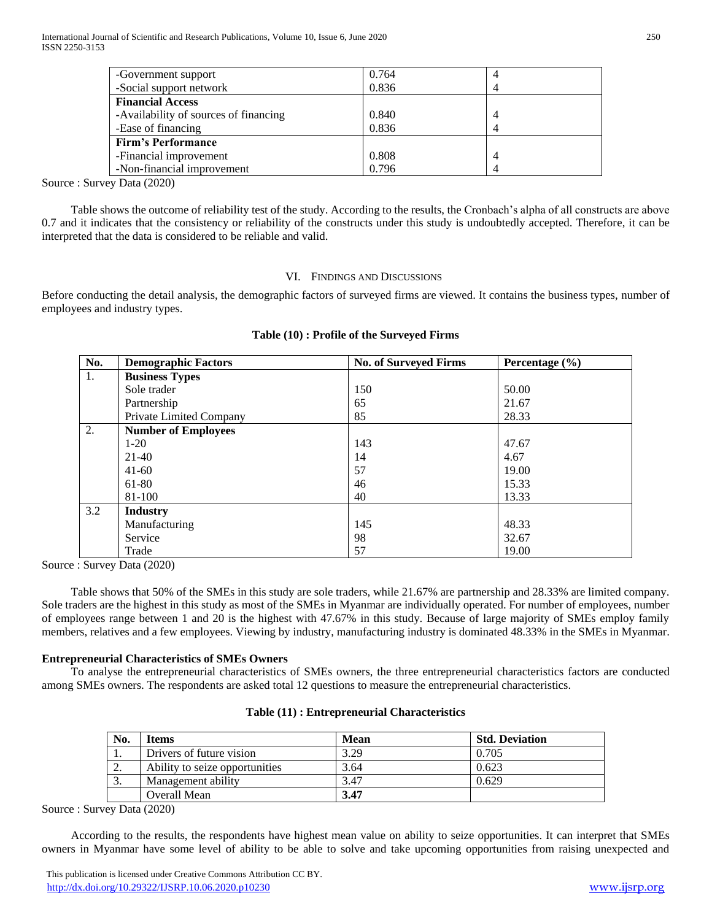International Journal of Scientific and Research Publications, Volume 10, Issue 6, June 2020 250 ISSN 2250-3153

| -Government support                   | 0.764 | 4 |  |
|---------------------------------------|-------|---|--|
| -Social support network               | 0.836 | 4 |  |
| <b>Financial Access</b>               |       |   |  |
| -Availability of sources of financing | 0.840 | 4 |  |
| -Ease of financing                    | 0.836 | 4 |  |
| <b>Firm's Performance</b>             |       |   |  |
| -Financial improvement                | 0.808 | 4 |  |
| -Non-financial improvement            | 0.796 | 4 |  |
| $P_1$ $(0.000)$                       |       |   |  |

Source : Survey Data (2020)

 Table shows the outcome of reliability test of the study. According to the results, the Cronbach's alpha of all constructs are above 0.7 and it indicates that the consistency or reliability of the constructs under this study is undoubtedly accepted. Therefore, it can be interpreted that the data is considered to be reliable and valid.

## VI. FINDINGS AND DISCUSSIONS

Before conducting the detail analysis, the demographic factors of surveyed firms are viewed. It contains the business types, number of employees and industry types.

| No. | <b>Demographic Factors</b> | <b>No. of Surveyed Firms</b> | Percentage $(\% )$ |
|-----|----------------------------|------------------------------|--------------------|
| 1.  | <b>Business Types</b>      |                              |                    |
|     | Sole trader                | 150                          | 50.00              |
|     | Partnership                | 65                           | 21.67              |
|     | Private Limited Company    | 85                           | 28.33              |
| 2.  | <b>Number of Employees</b> |                              |                    |
|     | $1-20$                     | 143                          | 47.67              |
|     | $21-40$                    | 14                           | 4.67               |
|     | $41-60$                    | 57                           | 19.00              |
|     | 61-80                      | 46                           | 15.33              |
|     | 81-100                     | 40                           | 13.33              |
| 3.2 | <b>Industry</b>            |                              |                    |
|     | Manufacturing              | 145                          | 48.33              |
|     | Service                    | 98                           | 32.67              |
|     | Trade                      | 57                           | 19.00              |

### **Table (10) : Profile of the Surveyed Firms**

Source : Survey Data (2020)

 Table shows that 50% of the SMEs in this study are sole traders, while 21.67% are partnership and 28.33% are limited company. Sole traders are the highest in this study as most of the SMEs in Myanmar are individually operated. For number of employees, number of employees range between 1 and 20 is the highest with 47.67% in this study. Because of large majority of SMEs employ family members, relatives and a few employees. Viewing by industry, manufacturing industry is dominated 48.33% in the SMEs in Myanmar.

### **Entrepreneurial Characteristics of SMEs Owners**

 To analyse the entrepreneurial characteristics of SMEs owners, the three entrepreneurial characteristics factors are conducted among SMEs owners. The respondents are asked total 12 questions to measure the entrepreneurial characteristics.

| No.        | ltems                          | Mean | <b>Std. Deviation</b> |
|------------|--------------------------------|------|-----------------------|
|            | Drivers of future vision       | 3.29 | 0.705                 |
| <u>، ،</u> | Ability to seize opportunities | 3.64 | 0.623                 |
| J.         | Management ability             | 3.47 | 0.629                 |
|            | Overall Mean                   | 3.47 |                       |

Source : Survey Data (2020)

 According to the results, the respondents have highest mean value on ability to seize opportunities. It can interpret that SMEs owners in Myanmar have some level of ability to be able to solve and take upcoming opportunities from raising unexpected and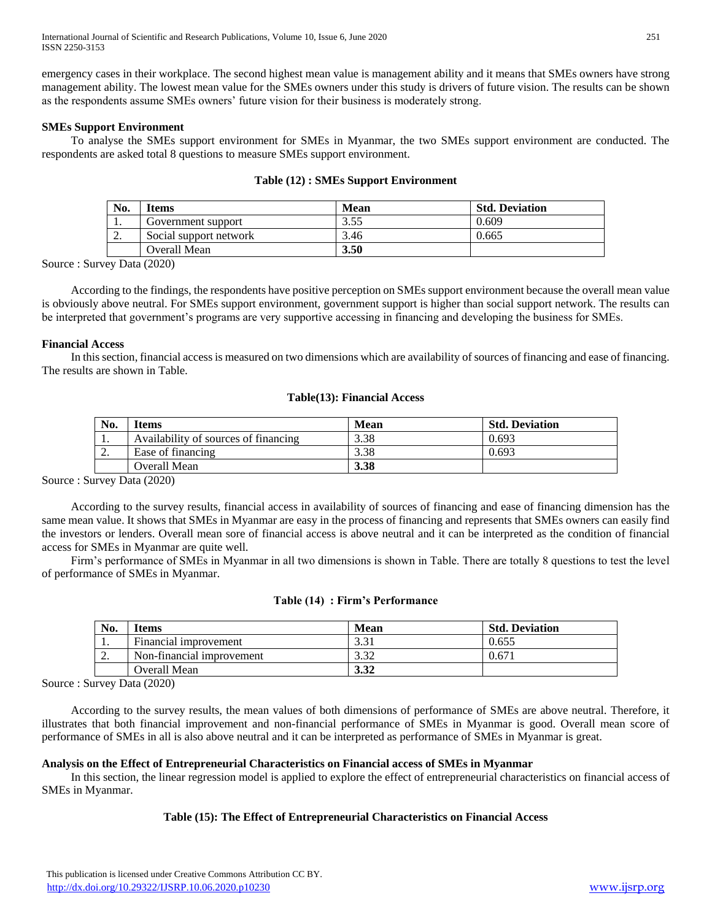emergency cases in their workplace. The second highest mean value is management ability and it means that SMEs owners have strong management ability. The lowest mean value for the SMEs owners under this study is drivers of future vision. The results can be shown as the respondents assume SMEs owners' future vision for their business is moderately strong.

## **SMEs Support Environment**

 To analyse the SMEs support environment for SMEs in Myanmar, the two SMEs support environment are conducted. The respondents are asked total 8 questions to measure SMEs support environment.

| No.      | <b>Items</b>           | Mean | <b>Std. Deviation</b> |
|----------|------------------------|------|-----------------------|
| . .      | Government support     | 3.55 | 0.609                 |
| <u>.</u> | Social support network | 3.46 | 0.665                 |
|          | Overall Mean           | 3.50 |                       |

### **Table (12) : SMEs Support Environment**

Source : Survey Data (2020)

 According to the findings, the respondents have positive perception on SMEs support environment because the overall mean value is obviously above neutral. For SMEs support environment, government support is higher than social support network. The results can be interpreted that government's programs are very supportive accessing in financing and developing the business for SMEs.

## **Financial Access**

 In this section, financial access is measured on two dimensions which are availability of sources of financing and ease of financing. The results are shown in Table.

## **Table(13): Financial Access**

| No.      | Items                                | Mean | <b>Std. Deviation</b> |
|----------|--------------------------------------|------|-----------------------|
| . .      | Availability of sources of financing | 3.38 | 0.693                 |
| <u>.</u> | Ease of financing                    | 3.38 | 0.693                 |
|          | Overall Mean                         | 3.38 |                       |

Source : Survey Data (2020)

 According to the survey results, financial access in availability of sources of financing and ease of financing dimension has the same mean value. It shows that SMEs in Myanmar are easy in the process of financing and represents that SMEs owners can easily find the investors or lenders. Overall mean sore of financial access is above neutral and it can be interpreted as the condition of financial access for SMEs in Myanmar are quite well.

 Firm's performance of SMEs in Myanmar in all two dimensions is shown in Table. There are totally 8 questions to test the level of performance of SMEs in Myanmar.

### **Table (14) : Firm's Performance**

| No.      | Items                     | Mean       | <b>Std. Deviation</b> |
|----------|---------------------------|------------|-----------------------|
| . .      | Financial improvement     | 331<br>ر ر | 0.655                 |
| <u>.</u> | Non-financial improvement | 3.32       | $0.67^{\circ}$        |
|          | Overall Mean              | 3.32       |                       |

Source : Survey Data (2020)

 According to the survey results, the mean values of both dimensions of performance of SMEs are above neutral. Therefore, it illustrates that both financial improvement and non-financial performance of SMEs in Myanmar is good. Overall mean score of performance of SMEs in all is also above neutral and it can be interpreted as performance of SMEs in Myanmar is great.

# **Analysis on the Effect of Entrepreneurial Characteristics on Financial access of SMEs in Myanmar**

 In this section, the linear regression model is applied to explore the effect of entrepreneurial characteristics on financial access of SMEs in Myanmar.

# **Table (15): The Effect of Entrepreneurial Characteristics on Financial Access**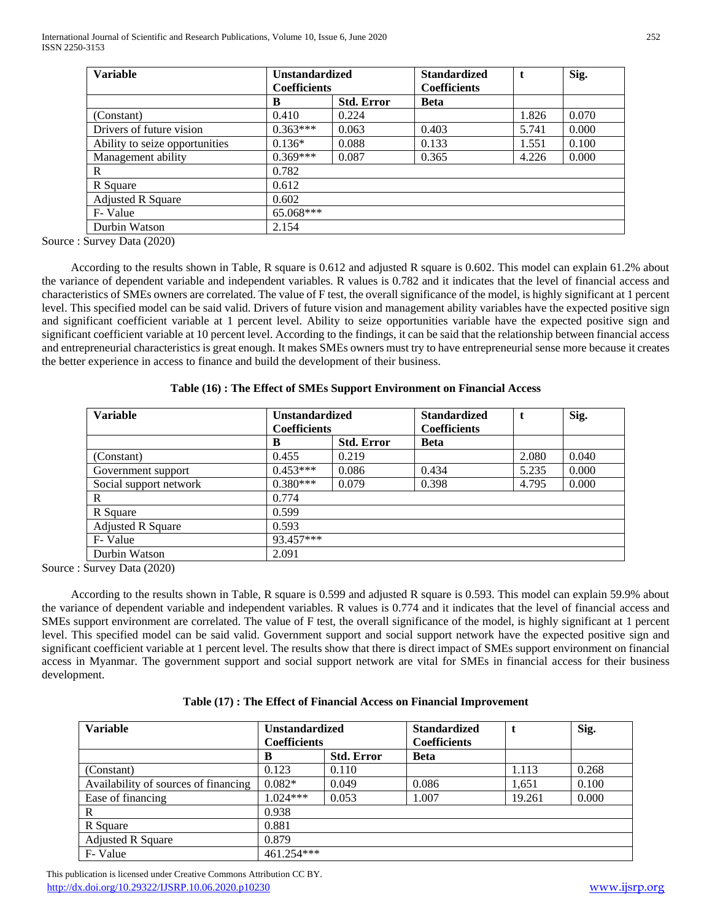| <b>Variable</b>                | <b>Unstandardized</b><br><b>Coefficients</b> |                   | <b>Standardized</b><br><b>Coefficients</b> | t     | Sig.  |
|--------------------------------|----------------------------------------------|-------------------|--------------------------------------------|-------|-------|
|                                | B                                            | <b>Std. Error</b> | <b>Beta</b>                                |       |       |
| (Constant)                     | 0.410                                        | 0.224             |                                            | 1.826 | 0.070 |
| Drivers of future vision       | $0.363***$                                   | 0.063             | 0.403                                      | 5.741 | 0.000 |
| Ability to seize opportunities | $0.136*$                                     | 0.088             | 0.133                                      | 1.551 | 0.100 |
| Management ability             | $0.369***$                                   | 0.087             | 0.365                                      | 4.226 | 0.000 |
| R                              | 0.782                                        |                   |                                            |       |       |
| R Square                       | 0.612                                        |                   |                                            |       |       |
| <b>Adjusted R Square</b>       | 0.602                                        |                   |                                            |       |       |
| F-Value                        | 65.068***                                    |                   |                                            |       |       |
| Durbin Watson                  | 2.154                                        |                   |                                            |       |       |

Source : Survey Data (2020)

 According to the results shown in Table, R square is 0.612 and adjusted R square is 0.602. This model can explain 61.2% about the variance of dependent variable and independent variables. R values is 0.782 and it indicates that the level of financial access and characteristics of SMEs owners are correlated. The value of F test, the overall significance of the model, is highly significant at 1 percent level. This specified model can be said valid. Drivers of future vision and management ability variables have the expected positive sign and significant coefficient variable at 1 percent level. Ability to seize opportunities variable have the expected positive sign and significant coefficient variable at 10 percent level. According to the findings, it can be said that the relationship between financial access and entrepreneurial characteristics is great enough. It makes SMEs owners must try to have entrepreneurial sense more because it creates the better experience in access to finance and build the development of their business.

| <b>Variable</b>          | <b>Unstandardized</b> |                   | <b>Standardized</b> |       | Sig.  |
|--------------------------|-----------------------|-------------------|---------------------|-------|-------|
|                          | <b>Coefficients</b>   |                   | <b>Coefficients</b> |       |       |
|                          | B                     | <b>Std. Error</b> | <b>Beta</b>         |       |       |
| (Constant)               | 0.455                 | 0.219             |                     | 2.080 | 0.040 |
| Government support       | $0.453***$            | 0.086             | 0.434               | 5.235 | 0.000 |
| Social support network   | $0.380***$            | 0.079             | 0.398               | 4.795 | 0.000 |
| R                        | 0.774                 |                   |                     |       |       |
| R Square                 | 0.599                 |                   |                     |       |       |
| <b>Adjusted R Square</b> | 0.593                 |                   |                     |       |       |
| F-Value                  | 93.457***             |                   |                     |       |       |
| Durbin Watson            | 2.091                 |                   |                     |       |       |

**Table (16) : The Effect of SMEs Support Environment on Financial Access**

Source : Survey Data (2020)

 According to the results shown in Table, R square is 0.599 and adjusted R square is 0.593. This model can explain 59.9% about the variance of dependent variable and independent variables. R values is 0.774 and it indicates that the level of financial access and SMEs support environment are correlated. The value of F test, the overall significance of the model, is highly significant at 1 percent level. This specified model can be said valid. Government support and social support network have the expected positive sign and significant coefficient variable at 1 percent level. The results show that there is direct impact of SMEs support environment on financial access in Myanmar. The government support and social support network are vital for SMEs in financial access for their business development.

|  | Table (17): The Effect of Financial Access on Financial Improvement |  |  |
|--|---------------------------------------------------------------------|--|--|
|--|---------------------------------------------------------------------|--|--|

| <b>Variable</b>                      | <b>Unstandardized</b><br><b>Coefficients</b> |                   | <b>Standardized</b><br><b>Coefficients</b> |        | Sig.  |
|--------------------------------------|----------------------------------------------|-------------------|--------------------------------------------|--------|-------|
|                                      | В                                            | <b>Std. Error</b> | <b>Beta</b>                                |        |       |
| (Constant)                           | 0.123                                        | 0.110             |                                            | 1.113  | 0.268 |
| Availability of sources of financing | $0.082*$                                     | 0.049             | 0.086                                      | 1.651  | 0.100 |
| Ease of financing                    | $1.024***$                                   | 0.053             | 1.007                                      | 19.261 | 0.000 |
| R                                    | 0.938                                        |                   |                                            |        |       |
| R Square                             | 0.881                                        |                   |                                            |        |       |
| <b>Adjusted R Square</b>             | 0.879                                        |                   |                                            |        |       |
| F-Value                              | 461.254***                                   |                   |                                            |        |       |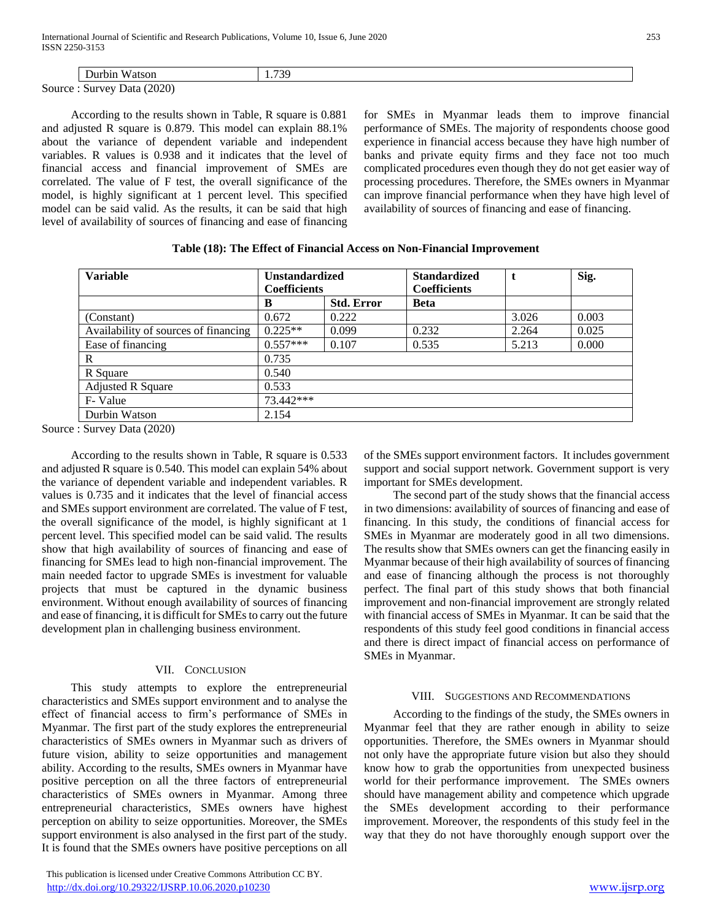|        | Durbin<br><b>Watson</b>    | 739<br>. |  |
|--------|----------------------------|----------|--|
| Source | (2020)<br>Data<br>. Survey |          |  |

 According to the results shown in Table, R square is 0.881 and adjusted R square is 0.879. This model can explain 88.1% about the variance of dependent variable and independent variables. R values is 0.938 and it indicates that the level of financial access and financial improvement of SMEs are correlated. The value of F test, the overall significance of the model, is highly significant at 1 percent level. This specified model can be said valid. As the results, it can be said that high level of availability of sources of financing and ease of financing

for SMEs in Myanmar leads them to improve financial performance of SMEs. The majority of respondents choose good experience in financial access because they have high number of banks and private equity firms and they face not too much complicated procedures even though they do not get easier way of processing procedures. Therefore, the SMEs owners in Myanmar can improve financial performance when they have high level of availability of sources of financing and ease of financing.

| <b>Variable</b>                      | <b>Unstandardized</b> |                   | <b>Standardized</b> | t     | Sig.  |  |
|--------------------------------------|-----------------------|-------------------|---------------------|-------|-------|--|
|                                      | <b>Coefficients</b>   |                   | <b>Coefficients</b> |       |       |  |
|                                      | B                     | <b>Std. Error</b> | <b>Beta</b>         |       |       |  |
| (Constant)                           | 0.672                 | 0.222             |                     | 3.026 | 0.003 |  |
| Availability of sources of financing | $0.225**$             | 0.099             | 0.232               | 2.264 | 0.025 |  |
| Ease of financing                    | $0.557***$            | 0.107             | 0.535               | 5.213 | 0.000 |  |
| $\mathbf R$                          | 0.735                 |                   |                     |       |       |  |
| R Square                             | 0.540                 |                   |                     |       |       |  |
| <b>Adjusted R Square</b>             | 0.533                 |                   |                     |       |       |  |
| F-Value                              | 73.442***             |                   |                     |       |       |  |
| Durbin Watson                        | 2.154                 |                   |                     |       |       |  |

| Table (18): The Effect of Financial Access on Non-Financial Improvement |  |
|-------------------------------------------------------------------------|--|
|-------------------------------------------------------------------------|--|

Source : Survey Data (2020)

 According to the results shown in Table, R square is 0.533 and adjusted R square is 0.540. This model can explain 54% about the variance of dependent variable and independent variables. R values is 0.735 and it indicates that the level of financial access and SMEs support environment are correlated. The value of F test, the overall significance of the model, is highly significant at 1 percent level. This specified model can be said valid. The results show that high availability of sources of financing and ease of financing for SMEs lead to high non-financial improvement. The main needed factor to upgrade SMEs is investment for valuable projects that must be captured in the dynamic business environment. Without enough availability of sources of financing and ease of financing, it is difficult for SMEs to carry out the future development plan in challenging business environment.

# VII. CONCLUSION

 This study attempts to explore the entrepreneurial characteristics and SMEs support environment and to analyse the effect of financial access to firm's performance of SMEs in Myanmar. The first part of the study explores the entrepreneurial characteristics of SMEs owners in Myanmar such as drivers of future vision, ability to seize opportunities and management ability. According to the results, SMEs owners in Myanmar have positive perception on all the three factors of entrepreneurial characteristics of SMEs owners in Myanmar. Among three entrepreneurial characteristics, SMEs owners have highest perception on ability to seize opportunities. Moreover, the SMEs support environment is also analysed in the first part of the study. It is found that the SMEs owners have positive perceptions on all

 This publication is licensed under Creative Commons Attribution CC BY. <http://dx.doi.org/10.29322/IJSRP.10.06.2020.p10230> [www.ijsrp.org](http://ijsrp.org/)

of the SMEs support environment factors. It includes government support and social support network. Government support is very important for SMEs development.

 The second part of the study shows that the financial access in two dimensions: availability of sources of financing and ease of financing. In this study, the conditions of financial access for SMEs in Myanmar are moderately good in all two dimensions. The results show that SMEs owners can get the financing easily in Myanmar because of their high availability of sources of financing and ease of financing although the process is not thoroughly perfect. The final part of this study shows that both financial improvement and non-financial improvement are strongly related with financial access of SMEs in Myanmar. It can be said that the respondents of this study feel good conditions in financial access and there is direct impact of financial access on performance of SMEs in Myanmar.

### VIII. SUGGESTIONS AND RECOMMENDATIONS

 According to the findings of the study, the SMEs owners in Myanmar feel that they are rather enough in ability to seize opportunities. Therefore, the SMEs owners in Myanmar should not only have the appropriate future vision but also they should know how to grab the opportunities from unexpected business world for their performance improvement. The SMEs owners should have management ability and competence which upgrade the SMEs development according to their performance improvement. Moreover, the respondents of this study feel in the way that they do not have thoroughly enough support over the